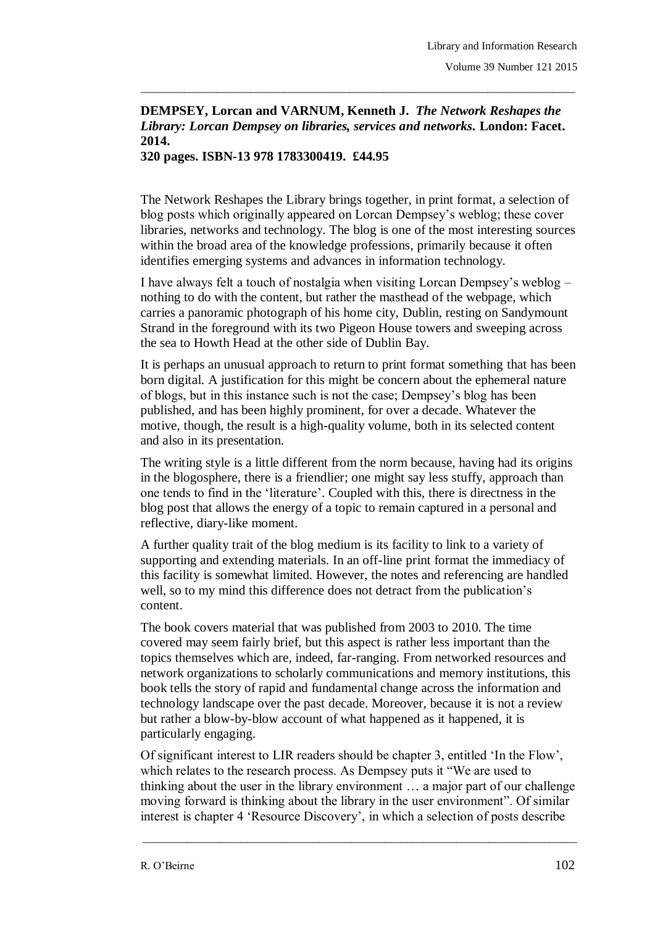## **DEMPSEY, Lorcan and VARNUM, Kenneth J.** *The Network Reshapes the Library: Lorcan Dempsey on libraries, services and networks.* **London: Facet. 2014.**

\_\_\_\_\_\_\_\_\_\_\_\_\_\_\_\_\_\_\_\_\_\_\_\_\_\_\_\_\_\_\_\_\_\_\_\_\_\_\_\_\_\_\_\_\_\_\_\_\_\_\_\_\_\_\_\_\_\_\_\_\_\_\_\_\_\_\_\_\_\_\_\_\_\_\_\_\_\_\_

**320 pages. ISBN-13 978 1783300419. £44.95** 

The Network Reshapes the Library brings together, in print format, a selection of blog posts which originally appeared on Lorcan Dempsey"s weblog; these cover libraries, networks and technology. The blog is one of the most interesting sources within the broad area of the knowledge professions, primarily because it often identifies emerging systems and advances in information technology.

I have always felt a touch of nostalgia when visiting Lorcan Dempsey"s weblog – nothing to do with the content, but rather the masthead of the webpage, which carries a panoramic photograph of his home city, Dublin, resting on Sandymount Strand in the foreground with its two Pigeon House towers and sweeping across the sea to Howth Head at the other side of Dublin Bay.

It is perhaps an unusual approach to return to print format something that has been born digital. A justification for this might be concern about the ephemeral nature of blogs, but in this instance such is not the case; Dempsey"s blog has been published, and has been highly prominent, for over a decade. Whatever the motive, though, the result is a high-quality volume, both in its selected content and also in its presentation.

The writing style is a little different from the norm because, having had its origins in the blogosphere, there is a friendlier; one might say less stuffy, approach than one tends to find in the "literature". Coupled with this, there is directness in the blog post that allows the energy of a topic to remain captured in a personal and reflective, diary-like moment.

A further quality trait of the blog medium is its facility to link to a variety of supporting and extending materials. In an off-line print format the immediacy of this facility is somewhat limited. However, the notes and referencing are handled well, so to my mind this difference does not detract from the publication's content.

The book covers material that was published from 2003 to 2010. The time covered may seem fairly brief, but this aspect is rather less important than the topics themselves which are, indeed, far-ranging. From networked resources and network organizations to scholarly communications and memory institutions, this book tells the story of rapid and fundamental change across the information and technology landscape over the past decade. Moreover, because it is not a review but rather a blow-by-blow account of what happened as it happened, it is particularly engaging.

Of significant interest to LIR readers should be chapter 3, entitled "In the Flow", which relates to the research process. As Dempsey puts it "We are used to thinking about the user in the library environment … a major part of our challenge moving forward is thinking about the library in the user environment". Of similar interest is chapter 4 "Resource Discovery", in which a selection of posts describe

\_\_\_\_\_\_\_\_\_\_\_\_\_\_\_\_\_\_\_\_\_\_\_\_\_\_\_\_\_\_\_\_\_\_\_\_\_\_\_\_\_\_\_\_\_\_\_\_\_\_\_\_\_\_\_\_\_\_\_\_\_\_\_\_\_\_\_\_\_\_\_\_\_\_\_\_\_\_\_